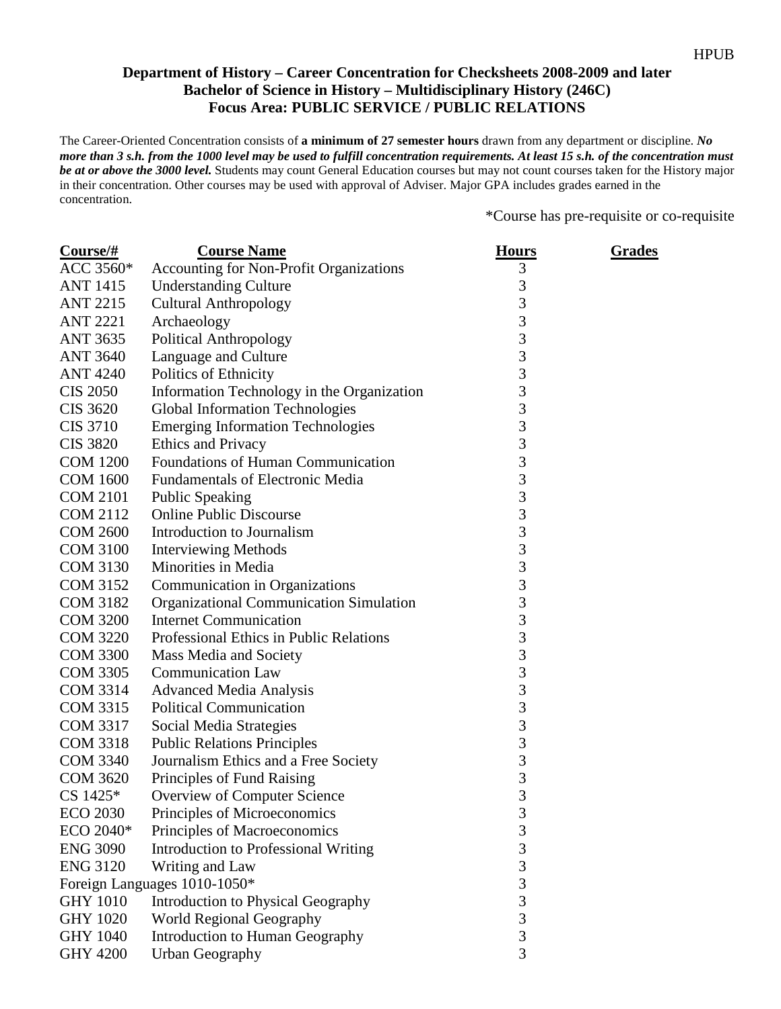## **Department of History – Career Concentration for Checksheets 2008-2009 and later Bachelor of Science in History – Multidisciplinary History (246C) Focus Area: PUBLIC SERVICE / PUBLIC RELATIONS**

The Career-Oriented Concentration consists of **a minimum of 27 semester hours** drawn from any department or discipline. *No more than 3 s.h. from the 1000 level may be used to fulfill concentration requirements. At least 15 s.h. of the concentration must be at or above the 3000 level.* Students may count General Education courses but may not count courses taken for the History major in their concentration. Other courses may be used with approval of Adviser. Major GPA includes grades earned in the concentration.

\*Course has pre-requisite or co-requisite

| $Course/\#$     | <b>Course Name</b>                             | <b>Hours</b>   | <u>Grades</u> |
|-----------------|------------------------------------------------|----------------|---------------|
| ACC 3560*       | Accounting for Non-Profit Organizations        | 3              |               |
| <b>ANT 1415</b> | <b>Understanding Culture</b>                   | 3              |               |
| <b>ANT 2215</b> | <b>Cultural Anthropology</b>                   | 3              |               |
| <b>ANT 2221</b> | Archaeology                                    | 3              |               |
| <b>ANT 3635</b> | <b>Political Anthropology</b>                  | 3              |               |
| <b>ANT 3640</b> | Language and Culture                           | 3              |               |
| <b>ANT 4240</b> | Politics of Ethnicity                          | $\overline{3}$ |               |
| <b>CIS 2050</b> | Information Technology in the Organization     | 3              |               |
| CIS 3620        | <b>Global Information Technologies</b>         | 3              |               |
| <b>CIS 3710</b> | <b>Emerging Information Technologies</b>       | $\overline{3}$ |               |
| <b>CIS 3820</b> | Ethics and Privacy                             | 3              |               |
| <b>COM 1200</b> | Foundations of Human Communication             | 3              |               |
| <b>COM 1600</b> | <b>Fundamentals of Electronic Media</b>        | 3              |               |
| <b>COM 2101</b> | <b>Public Speaking</b>                         | 3              |               |
| <b>COM 2112</b> | <b>Online Public Discourse</b>                 | 3              |               |
| <b>COM 2600</b> | Introduction to Journalism                     | 3              |               |
| <b>COM 3100</b> | <b>Interviewing Methods</b>                    | $\overline{3}$ |               |
| <b>COM 3130</b> | Minorities in Media                            | 3              |               |
| <b>COM 3152</b> | Communication in Organizations                 | 3              |               |
| <b>COM 3182</b> | <b>Organizational Communication Simulation</b> | $\overline{3}$ |               |
| <b>COM 3200</b> | <b>Internet Communication</b>                  | 3              |               |
| <b>COM 3220</b> | Professional Ethics in Public Relations        | 3              |               |
| <b>COM 3300</b> | Mass Media and Society                         | 3              |               |
| <b>COM 3305</b> | <b>Communication Law</b>                       | 3              |               |
| <b>COM 3314</b> | <b>Advanced Media Analysis</b>                 | 3              |               |
| <b>COM 3315</b> | <b>Political Communication</b>                 | 3              |               |
| <b>COM 3317</b> | Social Media Strategies                        | $\overline{3}$ |               |
| <b>COM 3318</b> | <b>Public Relations Principles</b>             | 3              |               |
| <b>COM 3340</b> | Journalism Ethics and a Free Society           | 3              |               |
| <b>COM 3620</b> | Principles of Fund Raising                     | 3              |               |
| $CS 1425*$      | Overview of Computer Science                   | 3              |               |
| <b>ECO 2030</b> | Principles of Microeconomics                   | 3              |               |
| ECO 2040*       | Principles of Macroeconomics                   | 3              |               |
| <b>ENG 3090</b> | <b>Introduction to Professional Writing</b>    | 3              |               |
| <b>ENG 3120</b> | Writing and Law                                | 3              |               |
|                 | Foreign Languages 1010-1050*                   | 3              |               |
| <b>GHY 1010</b> | Introduction to Physical Geography             | $\overline{3}$ |               |
| <b>GHY 1020</b> | World Regional Geography                       | 3              |               |
| <b>GHY 1040</b> | Introduction to Human Geography                | 3              |               |
| <b>GHY 4200</b> | <b>Urban Geography</b>                         | $\overline{3}$ |               |
|                 |                                                |                |               |